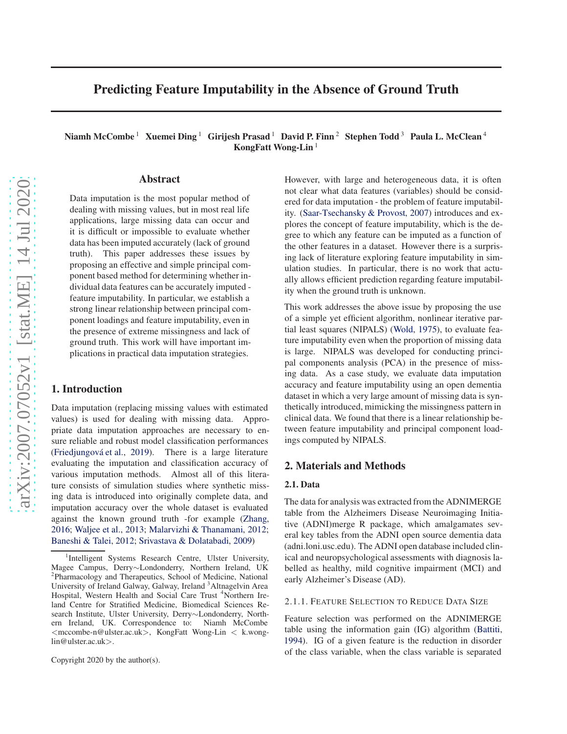# Predicting Feature Imputability in the Absence of Ground Truth

Niamh McCombe<sup>1</sup> Xuemei Ding<sup>1</sup> Girijesh Prasad<sup>1</sup> David P. Finn<sup>2</sup> Stephen Todd<sup>3</sup> Paula L. McClean<sup>4</sup> KongFatt Wong-Lin<sup>1</sup>

# Abstract

Data imputation is the most popular method of dealing with missing values, but in most real life applications, large missing data can occur and it is difficult or impossible to evaluate whether data has been imputed accurately (lack of ground truth). This paper addresses these issues by proposing an effective and simple principal component based method for determining whether individual data features can be accurately imputed feature imputability. In particular, we establish a strong linear relationship between principal component loadings and feature imputability, even in the presence of extreme missingness and lack of ground truth. This work will have important implications in practical data imputation strategies.

# 1. Introduction

Data imputation (replacing missing values with estimated values) is used for dealing with missing data. Appropriate data imputation approaches are necessary to ensure reliable and robust model classification performances (Friedjungová et al., [2019\)](#page-4-0). There is a large literature evaluating the imputation and classification accuracy of various imputation methods. Almost all of this literature consists of simulation studies where synthetic missing data is introduced into originally complete data, and imputation accuracy over the whole dataset is evaluated against the known ground truth -for example [\(Zhang](#page-4-0), [2016;](#page-4-0) [Waljee et al.](#page-4-0), [2013;](#page-4-0) [Malarvizhi & Thanamani,](#page-4-0) [2012;](#page-4-0) [Baneshi & Talei](#page-4-0), [2012;](#page-4-0) [Srivastava & Dolatabadi](#page-4-0), [2009](#page-4-0))

Copyright 2020 by the author(s).

However, with large and heterogeneous data, it is often not clear what data features (variables) should be considered for data imputation - the problem of feature imputability. [\(Saar-Tsechansky & Provost,](#page-4-0) [2007\)](#page-4-0) introduces and explores the concept of feature imputability, which is the degree to which any feature can be imputed as a function of the other features in a dataset. However there is a surprising lack of literature exploring feature imputability in simulation studies. In particular, there is no work that actually allows efficient prediction regarding feature imputability when the ground truth is unknown.

This work addresses the above issue by proposing the use of a simple yet efficient algorithm, nonlinear iterative partial least squares (NIPALS) [\(Wold](#page-4-0), [1975\)](#page-4-0), to evaluate feature imputability even when the proportion of missing data is large. NIPALS was developed for conducting principal components analysis (PCA) in the presence of missing data. As a case study, we evaluate data imputation accuracy and feature imputability using an open dementia dataset in which a very large amount of missing data is synthetically introduced, mimicking the missingness pattern in clinical data. We found that there is a linear relationship between feature imputability and principal component loadings computed by NIPALS.

# 2. Materials and Methods

## 2.1. Data

The data for analysis was extracted from the ADNIMERGE table from the Alzheimers Disease Neuroimaging Initiative (ADNI)merge R package, which amalgamates several key tables from the ADNI open source dementia data (adni.loni.usc.edu). The ADNI open database included clinical and neuropsychological assessments with diagnosis labelled as healthy, mild cognitive impairment (MCI) and early Alzheimer's Disease (AD).

#### 2.1.1. FEATURE SELECTION TO REDUCE DATA SIZE

Feature selection was performed on the ADNIMERGE table using the information gain (IG) algorithm [\(Battiti](#page-4-0), [1994\)](#page-4-0). IG of a given feature is the reduction in disorder of the class variable, when the class variable is separated

<sup>&</sup>lt;sup>1</sup>Intelligent Systems Research Centre, Ulster University, Magee Campus, Derry∼Londonderry, Northern Ireland, UK <sup>2</sup>Pharmacology and Therapeutics, School of Medicine, National University of Ireland Galway, Galway, Ireland <sup>3</sup>Altnagelvin Area Hospital, Western Health and Social Care Trust <sup>4</sup>Northern Ireland Centre for Stratified Medicine, Biomedical Sciences Research Institute, Ulster University, Derry∼Londonderry, Northern Ireland, UK. Correspondence to: Niamh McCombe <mccombe-n@ulster.ac.uk>, KongFatt Wong-Lin < k.wonglin@ulster.ac.uk>.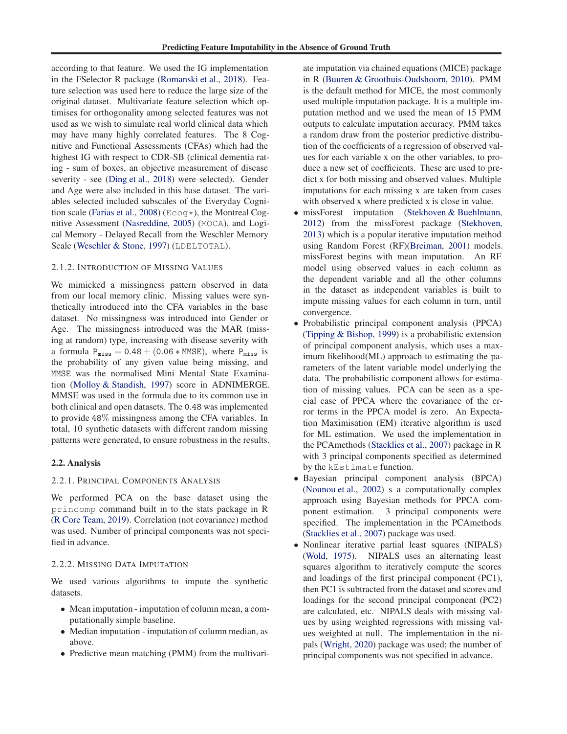according to that feature. We used the IG implementation in the FSelector R package [\(Romanski et al.,](#page-4-0) [2018\)](#page-4-0). Feature selection was used here to reduce the large size of the original dataset. Multivariate feature selection which optimises for orthogonality among selected features was not used as we wish to simulate real world clinical data which may have many highly correlated features. The 8 Cognitive and Functional Assessments (CFAs) which had the highest IG with respect to CDR-SB (clinical dementia rating - sum of boxes, an objective measurement of disease severity - see [\(Ding et al.](#page-4-0), [2018\)](#page-4-0) were selected). Gender and Age were also included in this base dataset. The variables selected included subscales of the Everyday Cogni-tion scale [\(Farias et al.](#page-4-0), [2008](#page-4-0)) ( $E \text{coq*}$ ), the Montreal Cognitive Assessment [\(Nasreddine,](#page-4-0) [2005](#page-4-0)) (MOCA), and Logical Memory - Delayed Recall from the Weschler Memory Scale [\(Weschler & Stone](#page-4-0), [1997](#page-4-0)) (LDELTOTAL).

#### 2.1.2. INTRODUCTION OF MISSING VALUES

We mimicked a missingness pattern observed in data from our local memory clinic. Missing values were synthetically introduced into the CFA variables in the base dataset. No missingness was introduced into Gender or Age. The missingness introduced was the MAR (missing at random) type, increasing with disease severity with a formula  $P_{miss} = 0.48 \pm (0.06 * MMSE)$ , where  $P_{miss}$  is the probability of any given value being missing, and MMSE was the normalised Mini Mental State Examination [\(Molloy & Standish](#page-4-0), [1997\)](#page-4-0) score in ADNIMERGE. MMSE was used in the formula due to its common use in both clinical and open datasets. The 0.48 was implemented to provide 48% missingness among the CFA variables. In total, 10 synthetic datasets with different random missing patterns were generated, to ensure robustness in the results.

#### 2.2. Analysis

#### 2.2.1. PRINCIPAL COMPONENTS ANALYSIS

We performed PCA on the base dataset using the princomp command built in to the stats package in R [\(R Core Team](#page-4-0), [2019](#page-4-0)). Correlation (not covariance) method was used. Number of principal components was not specified in advance.

#### 2.2.2. MISSING DATA IMPUTATION

We used various algorithms to impute the synthetic datasets.

- Mean imputation imputation of column mean, a computationally simple baseline.
- Median imputation imputation of column median, as above.
- Predictive mean matching (PMM) from the multivari-

ate imputation via chained equations (MICE) package in R [\(Buuren & Groothuis-Oudshoorn,](#page-4-0) [2010\)](#page-4-0). PMM is the default method for MICE, the most commonly used multiple imputation package. It is a multiple imputation method and we used the mean of 15 PMM outputs to calculate imputation accuracy. PMM takes a random draw from the posterior predictive distribution of the coefficients of a regression of observed values for each variable x on the other variables, to produce a new set of coefficients. These are used to predict x for both missing and observed values. Multiple imputations for each missing x are taken from cases with observed x where predicted x is close in value.

- missForest imputation [\(Stekhoven & Buehlmann](#page-4-0), [2012\)](#page-4-0) from the missForest package [\(Stekhoven,](#page-4-0) [2013\)](#page-4-0) which is a popular iterative imputation method using Random Forest (RF)[\(Breiman](#page-4-0), [2001](#page-4-0)) models. missForest begins with mean imputation. An RF model using observed values in each column as the dependent variable and all the other columns in the dataset as independent variables is built to impute missing values for each column in turn, until convergence.
- Probabilistic principal component analysis (PPCA) [\(Tipping & Bishop,](#page-4-0) [1999\)](#page-4-0) is a probabilistic extension of principal component analysis, which uses a maximum likelihood(ML) approach to estimating the parameters of the latent variable model underlying the data. The probabilistic component allows for estimation of missing values. PCA can be seen as a special case of PPCA where the covariance of the error terms in the PPCA model is zero. An Expectation Maximisation (EM) iterative algorithm is used for ML estimation. We used the implementation in the PCAmethods [\(Stacklies et al.,](#page-4-0) [2007\)](#page-4-0) package in R with 3 principal components specified as determined by the kEstimate function.
- Bayesian principal component analysis (BPCA) [\(Nounou et al.](#page-4-0), [2002\)](#page-4-0) s a computationally complex approach using Bayesian methods for PPCA component estimation. 3 principal components were specified. The implementation in the PCAmethods [\(Stacklies et al.](#page-4-0), [2007](#page-4-0)) package was used.
- Nonlinear iterative partial least squares (NIPALS) [\(Wold,](#page-4-0) [1975\)](#page-4-0). NIPALS uses an alternating least squares algorithm to iteratively compute the scores and loadings of the first principal component (PC1), then PC1 is subtracted from the dataset and scores and loadings for the second principal component (PC2) are calculated, etc. NIPALS deals with missing values by using weighted regressions with missing values weighted at null. The implementation in the nipals [\(Wright,](#page-4-0) [2020\)](#page-4-0) package was used; the number of principal components was not specified in advance.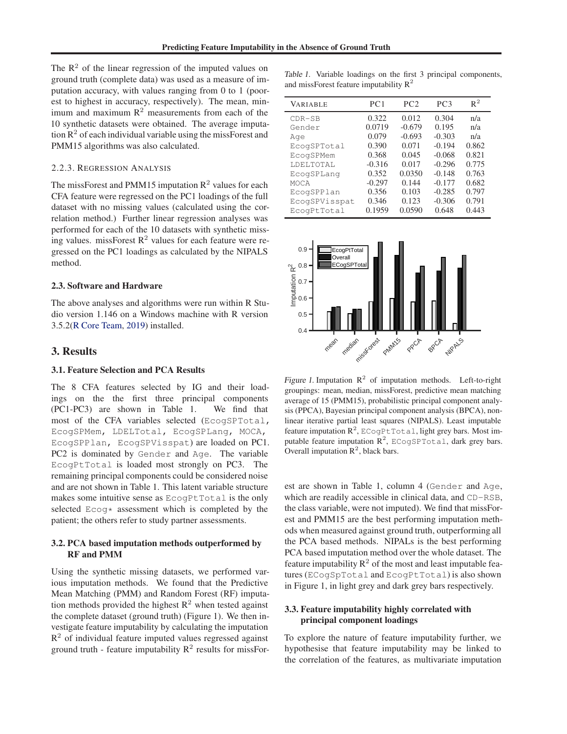The  $\mathbb{R}^2$  of the linear regression of the imputed values on ground truth (complete data) was used as a measure of imputation accuracy, with values ranging from 0 to 1 (poorest to highest in accuracy, respectively). The mean, minimum and maximum  $R<sup>2</sup>$  measurements from each of the 10 synthetic datasets were obtained. The average imputation  $R<sup>2</sup>$  of each individual variable using the missForest and PMM15 algorithms was also calculated.

#### 2.2.3. REGRESSION ANALYSIS

The missForest and PMM15 imputation  $\mathbb{R}^2$  values for each CFA feature were regressed on the PC1 loadings of the full dataset with no missing values (calculated using the correlation method.) Further linear regression analyses was performed for each of the 10 datasets with synthetic missing values. missForest  $R^2$  values for each feature were regressed on the PC1 loadings as calculated by the NIPALS method.

#### 2.3. Software and Hardware

The above analyses and algorithms were run within R Studio version 1.146 on a Windows machine with R version 3.5.2[\(R Core Team,](#page-4-0) [2019\)](#page-4-0) installed.

## 3. Results

## 3.1. Feature Selection and PCA Results

The 8 CFA features selected by IG and their loadings on the the first three principal components (PC1-PC3) are shown in Table 1. We find that most of the CFA variables selected (EcogSPTotal, EcogSPMem, LDELTotal, EcogSPLang, MOCA, EcogSPPlan, EcogSPVisspat) are loaded on PC1. PC2 is dominated by Gender and Age. The variable EcogPtTotal is loaded most strongly on PC3. The remaining principal components could be considered noise and are not shown in Table 1. This latent variable structure makes some intuitive sense as EcogPtTotal is the only selected Ecog\* assessment which is completed by the patient; the others refer to study partner assessments.

## 3.2. PCA based imputation methods outperformed by RF and PMM

Using the synthetic missing datasets, we performed various imputation methods. We found that the Predictive Mean Matching (PMM) and Random Forest (RF) imputation methods provided the highest  $\mathbb{R}^2$  when tested against the complete dataset (ground truth) (Figure 1). We then investigate feature imputability by calculating the imputation  $R<sup>2</sup>$  of individual feature imputed values regressed against ground truth - feature imputability  $R^2$  results for missFor-

Table 1. Variable loadings on the first 3 principal components, and missForest feature imputability  $R^2$ 

| <b>VARIABLE</b> | PC <sub>1</sub> | PC2      | PC <sub>3</sub> | $R^2$ |
|-----------------|-----------------|----------|-----------------|-------|
| $CDR-SB$        | 0.322           | 0.012    | 0.304           | n/a   |
| Gender          | 0.0719          | $-0.679$ | 0.195           | n/a   |
| Age             | 0.079           | $-0.693$ | $-0.303$        | n/a   |
| EcogSPTotal     | 0.390           | 0.071    | $-0.194$        | 0.862 |
| EcogSPMem       | 0.368           | 0.045    | $-0.068$        | 0.821 |
| LDELTOTAL       | $-0.316$        | 0.017    | $-0.296$        | 0.775 |
| EcogSPLang      | 0.352           | 0.0350   | $-0.148$        | 0.763 |
| MOCA            | $-0.297$        | 0.144    | $-0.177$        | 0.682 |
| EcogSPPlan      | 0.356           | 0.103    | $-0.285$        | 0.797 |
| EcogSPVisspat   | 0.346           | 0.123    | $-0.306$        | 0.791 |
| EcogPtTotal     | 0.1959          | 0.0590   | 0.648           | 0.443 |



Figure 1. Imputation  $R^2$  of imputation methods. Left-to-right groupings: mean, median, missForest, predictive mean matching average of 15 (PMM15), probabilistic principal component analysis (PPCA), Bayesian principal component analysis (BPCA), nonlinear iterative partial least squares (NIPALS). Least imputable feature imputation  $\mathbb{R}^2$ , ECogPtTotal, light grey bars. Most imputable feature imputation  $\mathbb{R}^2$ , ECogSPTotal, dark grey bars. Overall imputation  $\mathbb{R}^2$ , black bars.

est are shown in Table 1, column 4 (Gender and Age, which are readily accessible in clinical data, and CD-RSB, the class variable, were not imputed). We find that missForest and PMM15 are the best performing imputation methods when measured against ground truth, outperforming all the PCA based methods. NIPALs is the best performing PCA based imputation method over the whole dataset. The feature imputability  $R^2$  of the most and least imputable features (ECogSpTotal and EcogPtTotal) is also shown in Figure 1, in light grey and dark grey bars respectively.

# 3.3. Feature imputability highly correlated with principal component loadings

To explore the nature of feature imputability further, we hypothesise that feature imputability may be linked to the correlation of the features, as multivariate imputation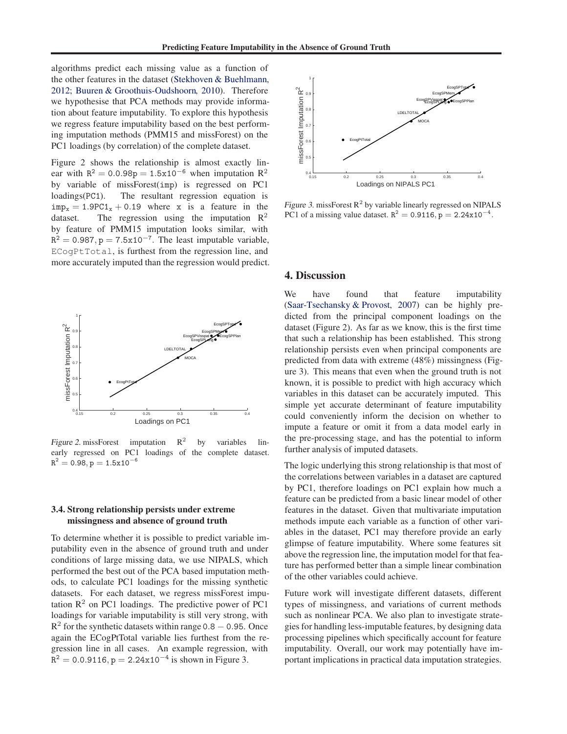algorithms predict each missing value as a function of the other features in the dataset [\(Stekhoven & Buehlmann](#page-4-0), [2012;](#page-4-0) [Buuren & Groothuis-Oudshoorn,](#page-4-0) [2010\)](#page-4-0). Therefore we hypothesise that PCA methods may provide information about feature imputability. To explore this hypothesis we regress feature imputability based on the best performing imputation methods (PMM15 and missForest) on the PC1 loadings (by correlation) of the complete dataset.

Figure 2 shows the relationship is almost exactly linear with  $R^2 = 0.0.98p = 1.5x10^{-6}$  when imputation  $R^2$ by variable of missForest(imp) is regressed on PC1 loadings(PC1). The resultant regression equation is  $\text{imp}_x = 1.9PC1_x + 0.19$  where x is a feature in the dataset. The regression using the imputation R<sup>2</sup> The regression using the imputation  $\mathbb{R}^2$ by feature of PMM15 imputation looks similar, with  $R^2 = 0.987$ , p = 7.5x10<sup>-7</sup>. The least imputable variable, ECogPtTotal, is furthest from the regression line, and more accurately imputed than the regression would predict.



Figure 2. missForest imputation  $R^2$ by variables linearly regressed on PC1 loadings of the complete dataset.  $R^2 = 0.98, p = 1.5x10^{-6}$ 

# 3.4. Strong relationship persists under extreme missingness and absence of ground truth

To determine whether it is possible to predict variable imputability even in the absence of ground truth and under conditions of large missing data, we use NIPALS, which performed the best out of the PCA based imputation methods, to calculate PC1 loadings for the missing synthetic datasets. For each dataset, we regress missForest imputation  $\mathbb{R}^2$  on PC1 loadings. The predictive power of PC1 loadings for variable imputability is still very strong, with  $R<sup>2</sup>$  for the synthetic datasets within range 0.8 – 0.95. Once again the ECogPtTotal variable lies furthest from the regression line in all cases. An example regression, with  $R^2 = 0.0.9116, p = 2.24x10^{-4}$  is shown in Figure 3.



Figure 3. missForest  $R^2$  by variable linearly regressed on NIPALS PC1 of a missing value dataset.  $R^2 = 0.9116$ ,  $p = 2.24x10^{-4}$ .

#### 4. Discussion

We have found that feature imputability [\(Saar-Tsechansky & Provost,](#page-4-0) [2007\)](#page-4-0) can be highly predicted from the principal component loadings on the dataset (Figure 2). As far as we know, this is the first time that such a relationship has been established. This strong relationship persists even when principal components are predicted from data with extreme (48%) missingness (Figure 3). This means that even when the ground truth is not known, it is possible to predict with high accuracy which variables in this dataset can be accurately imputed. This simple yet accurate determinant of feature imputability could conveniently inform the decision on whether to impute a feature or omit it from a data model early in the pre-processing stage, and has the potential to inform further analysis of imputed datasets.

The logic underlying this strong relationship is that most of the correlations between variables in a dataset are captured by PC1, therefore loadings on PC1 explain how much a feature can be predicted from a basic linear model of other features in the dataset. Given that multivariate imputation methods impute each variable as a function of other variables in the dataset, PC1 may therefore provide an early glimpse of feature imputability. Where some features sit above the regression line, the imputation model for that feature has performed better than a simple linear combination of the other variables could achieve.

Future work will investigate different datasets, different types of missingness, and variations of current methods such as nonlinear PCA. We also plan to investigate strategies for handling less-imputable features, by designing data processing pipelines which specifically account for feature imputability. Overall, our work may potentially have important implications in practical data imputation strategies.